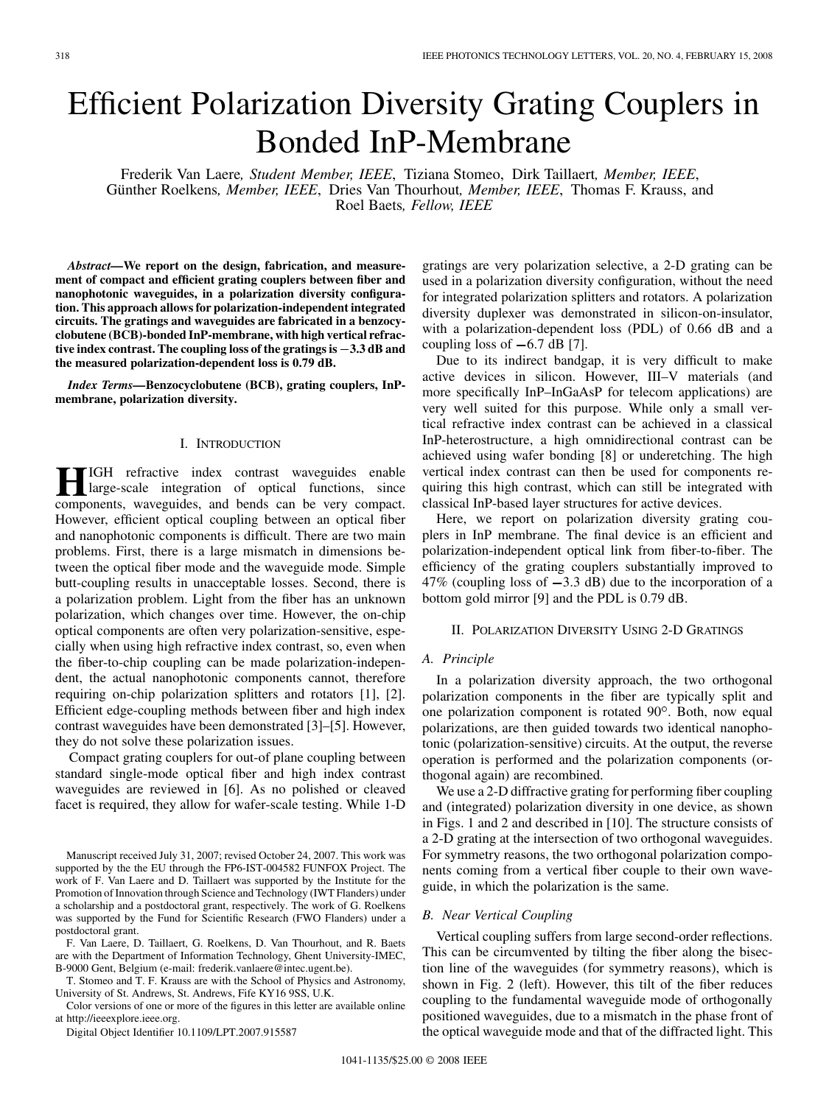# Efficient Polarization Diversity Grating Couplers in Bonded InP-Membrane

Frederik Van Laere*, Student Member, IEEE*, Tiziana Stomeo, Dirk Taillaert*, Member, IEEE*, Günther Roelkens*, Member, IEEE*, Dries Van Thourhout*, Member, IEEE*, Thomas F. Krauss, and Roel Baets*, Fellow, IEEE*

*Abstract—***We report on the design, fabrication, and measurement of compact and efficient grating couplers between fiber and nanophotonic waveguides, in a polarization diversity configuration. This approach allows for polarization-independent integrated circuits. The gratings and waveguides are fabricated in a benzocyclobutene (BCB)-bonded InP-membrane, with high vertical refrac**nanophotonic waveguides, in a polarization diversity configuration. This approach allows for polarization-independent integrated<br>circuits. The gratings and waveguides are fabricated in a benzocy-<br>clobutene (BCB)-bonded InP **the measured polarization-dependent loss is 0.79 dB.**

*Index Terms—***Benzocyclobutene (BCB), grating couplers, InPmembrane, polarization diversity.**

## I. INTRODUCTION

**HIGH** refractive index contrast waveguides enable<br>large-scale integration of optical functions, since<br>components waveguides and bends can be very compact components, waveguides, and bends can be very compact. However, efficient optical coupling between an optical fiber and nanophotonic components is difficult. There are two main problems. First, there is a large mismatch in dimensions between the optical fiber mode and the waveguide mode. Simple butt-coupling results in unacceptable losses. Second, there is a polarization problem. Light from the fiber has an unknown polarization, which changes over time. However, the on-chip optical components are often very polarization-sensitive, especially when using high refractive index contrast, so, even when the fiber-to-chip coupling can be made polarization-independent, the actual nanophotonic components cannot, therefore requiring on-chip polarization splitters and rotators [1], [2]. Efficient edge-coupling methods between fiber and high index contrast waveguides have been demonstrated [3]–[5]. However, they do not solve these polarization issues.

Compact grating couplers for out-of plane coupling between standard single-mode optical fiber and high index contrast waveguides are reviewed in [6]. As no polished or cleaved facet is required, they allow for wafer-scale testing. While 1-D

Manuscript received July 31, 2007; revised October 24, 2007. This work was supported by the the EU through the FP6-IST-004582 FUNFOX Project. The work of F. Van Laere and D. Taillaert was supported by the Institute for the Promotion of Innovation through Science and Technology (IWT Flanders) under a scholarship and a postdoctoral grant, respectively. The work of G. Roelkens was supported by the Fund for Scientific Research (FWO Flanders) under a postdoctoral grant.

F. Van Laere, D. Taillaert, G. Roelkens, D. Van Thourhout, and R. Baets are with the Department of Information Technology, Ghent University-IMEC, B-9000 Gent, Belgium (e-mail: frederik.vanlaere@intec.ugent.be).

T. Stomeo and T. F. Krauss are with the School of Physics and Astronomy, University of St. Andrews, St. Andrews, Fife KY16 9SS, U.K.

Color versions of one or more of the figures in this letter are available online at http://ieeexplore.ieee.org.

Digital Object Identifier 10.1109/LPT.2007.915587

gratings are very polarization selective, a 2-D grating can be used in a polarization diversity configuration, without the need for integrated polarization splitters and rotators. A polarization diversity duplexer was demonstrated in silicon-on-insulator, with a polarization-dependent loss (PDL) of 0.66 dB and a coupling loss of  $-6.7$  dB [7].

Due to its indirect bandgap, it is very difficult to make active devices in silicon. However, III–V materials (and more specifically InP–InGaAsP for telecom applications) are very well suited for this purpose. While only a small vertical refractive index contrast can be achieved in a classical InP-heterostructure, a high omnidirectional contrast can be achieved using wafer bonding [8] or underetching. The high vertical index contrast can then be used for components requiring this high contrast, which can still be integrated with classical InP-based layer structures for active devices.

Here, we report on polarization diversity grating couplers in InP membrane. The final device is an efficient and polarization-independent optical link from fiber-to-fiber. The efficiency of the grating couplers substantially improved to  $47\%$  (coupling loss of  $-3.3$  dB) due to the incorporation of a bottom gold mirror [9] and the PDL is 0.79 dB.

## II. POLARIZATION DIVERSITY USING 2-D GRATINGS

# *A. Principle*

In a polarization diversity approach, the two orthogonal polarization components in the fiber are typically split and one polarization component is rotated 90°. Both, now equal polarizations, are then guided towards two identical nanophotonic (polarization-sensitive) circuits. At the output, the reverse operation is performed and the polarization components (orthogonal again) are recombined.

We use a 2-D diffractive grating for performing fiber coupling and (integrated) polarization diversity in one device, as shown in Figs. 1 and 2 and described in [10]. The structure consists of a 2-D grating at the intersection of two orthogonal waveguides. For symmetry reasons, the two orthogonal polarization components coming from a vertical fiber couple to their own waveguide, in which the polarization is the same.

#### *B. Near Vertical Coupling*

Vertical coupling suffers from large second-order reflections. This can be circumvented by tilting the fiber along the bisection line of the waveguides (for symmetry reasons), which is shown in Fig. 2 (left). However, this tilt of the fiber reduces coupling to the fundamental waveguide mode of orthogonally positioned waveguides, due to a mismatch in the phase front of the optical waveguide mode and that of the diffracted light. This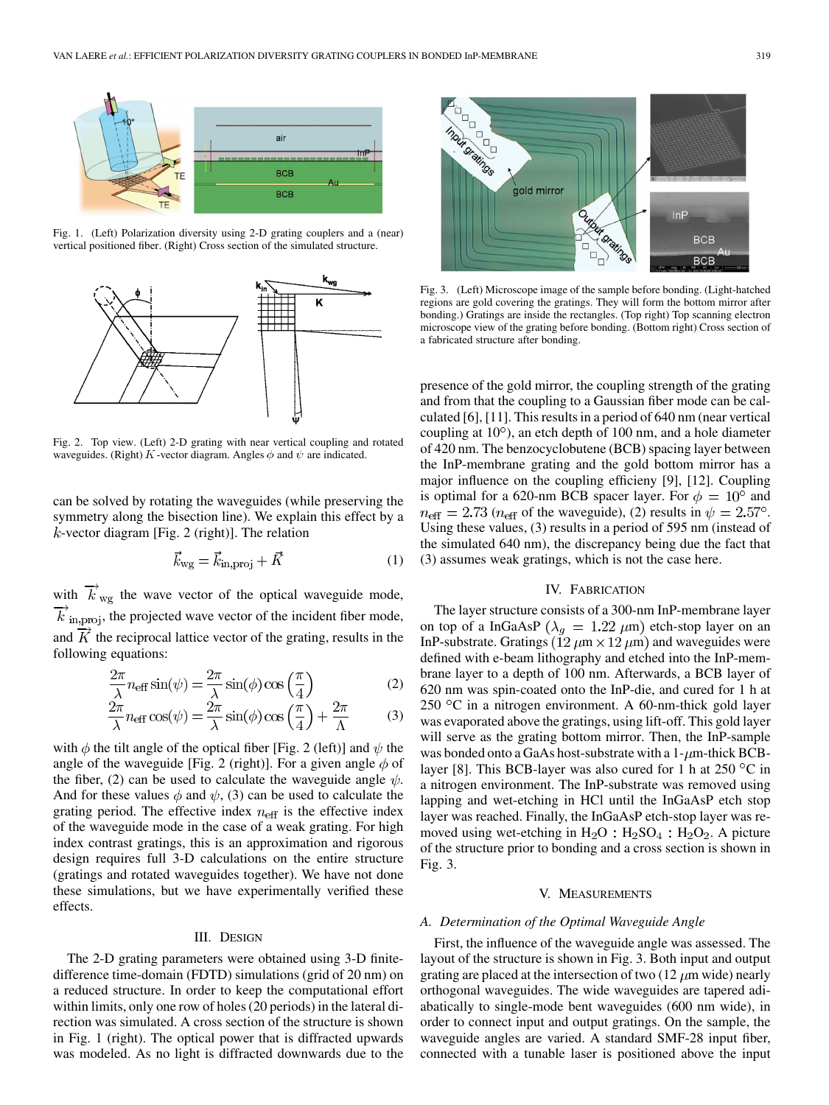

Fig. 1. (Left) Polarization diversity using 2-D grating couplers and a (near) vertical positioned fiber. (Right) Cross section of the simulated structure.



Fig. 2. Top view. (Left) 2-D grating with near vertical coupling and rotated waveguides. (Right) K-vector diagram. Angles  $\phi$  and  $\psi$  are indicated.

can be solved by rotating the waveguides (while preserving the symmetry along the bisection line). We explain this effect by a  $k$ -vector diagram [Fig. 2 (right)]. The relation

$$
\vec{k}_{\rm wg} = \vec{k}_{\rm in,proj} + \vec{K} \tag{1}
$$

with  $\overrightarrow{k}_{\text{wg}}$  the wave vector of the optical waveguide mode,  $\overline{k}$ <sub>in, proj</sub>, the projected wave vector of the incident fiber mode, and  $K$  the reciprocal lattice vector of the grating, results in the following equations:

$$
\frac{2\pi}{\lambda} n_{\text{eff}} \sin(\psi) = \frac{2\pi}{\lambda} \sin(\phi) \cos\left(\frac{\pi}{4}\right) \tag{2}
$$

$$
\frac{2\pi}{\lambda} n_{\text{eff}} \cos(\psi) = \frac{2\pi}{\lambda} \sin(\phi) \cos\left(\frac{\pi}{4}\right) + \frac{2\pi}{\Lambda} \tag{3}
$$

with  $\phi$  the tilt angle of the optical fiber [Fig. 2 (left)] and  $\psi$  the angle of the waveguide [Fig. 2 (right)]. For a given angle  $\phi$  of the fiber, (2) can be used to calculate the waveguide angle  $\psi$ . And for these values  $\phi$  and  $\psi$ , (3) can be used to calculate the grating period. The effective index  $n_{\text{eff}}$  is the effective index of the waveguide mode in the case of a weak grating. For high index contrast gratings, this is an approximation and rigorous design requires full 3-D calculations on the entire structure (gratings and rotated waveguides together). We have not done these simulations, but we have experimentally verified these effects.

## III. DESIGN

The 2-D grating parameters were obtained using 3-D finitedifference time-domain (FDTD) simulations (grid of 20 nm) on a reduced structure. In order to keep the computational effort within limits, only one row of holes (20 periods) in the lateral direction was simulated. A cross section of the structure is shown in Fig. 1 (right). The optical power that is diffracted upwards was modeled. As no light is diffracted downwards due to the



Fig. 3. (Left) Microscope image of the sample before bonding. (Light-hatched regions are gold covering the gratings. They will form the bottom mirror after bonding.) Gratings are inside the rectangles. (Top right) Top scanning electron microscope view of the grating before bonding. (Bottom right) Cross section of a fabricated structure after bonding.

presence of the gold mirror, the coupling strength of the grating and from that the coupling to a Gaussian fiber mode can be calculated [6], [11]. This results in a period of 640 nm (near vertical coupling at  $10^{\circ}$ ), an etch depth of 100 nm, and a hole diameter of 420 nm. The benzocyclobutene (BCB) spacing layer between the InP-membrane grating and the gold bottom mirror has a major influence on the coupling efficieny [9], [12]. Coupling is optimal for a 620-nm BCB spacer layer. For  $\phi = 10^{\circ}$  and  $n_{\text{eff}} = 2.73$  ( $n_{\text{eff}}$  of the waveguide), (2) results in  $\psi = 2.57^{\circ}$ . Using these values, (3) results in a period of 595 nm (instead of the simulated 640 nm), the discrepancy being due the fact that (3) assumes weak gratings, which is not the case here.

## IV. FABRICATION

The layer structure consists of a 300-nm InP-membrane layer on top of a InGaAsP ( $\lambda_g = 1.22 \ \mu m$ ) etch-stop layer on an InP-substrate. Gratings ( $12 \mu m \times 12 \mu m$ ) and waveguides were defined with e-beam lithography and etched into the InP-membrane layer to a depth of 100 nm. Afterwards, a BCB layer of 620 nm was spin-coated onto the InP-die, and cured for 1 h at 250  $\rm{^{\circ}C}$  in a nitrogen environment. A 60-nm-thick gold layer was evaporated above the gratings, using lift-off. This gold layer will serve as the grating bottom mirror. Then, the InP-sample was bonded onto a GaAs host-substrate with a  $1-\mu$ m-thick BCBlayer [8]. This BCB-layer was also cured for 1 h at  $250 °C$  in a nitrogen environment. The InP-substrate was removed using lapping and wet-etching in HCl until the InGaAsP etch stop layer was reached. Finally, the InGaAsP etch-stop layer was removed using wet-etching in  $H_2O : H_2SO_4 : H_2O_2$ . A picture of the structure prior to bonding and a cross section is shown in Fig. 3.

#### V. MEASUREMENTS

#### *A. Determination of the Optimal Waveguide Angle*

First, the influence of the waveguide angle was assessed. The layout of the structure is shown in Fig. 3. Both input and output grating are placed at the intersection of two  $(12 \mu m)$  wide) nearly orthogonal waveguides. The wide waveguides are tapered adiabatically to single-mode bent waveguides (600 nm wide), in order to connect input and output gratings. On the sample, the waveguide angles are varied. A standard SMF-28 input fiber, connected with a tunable laser is positioned above the input